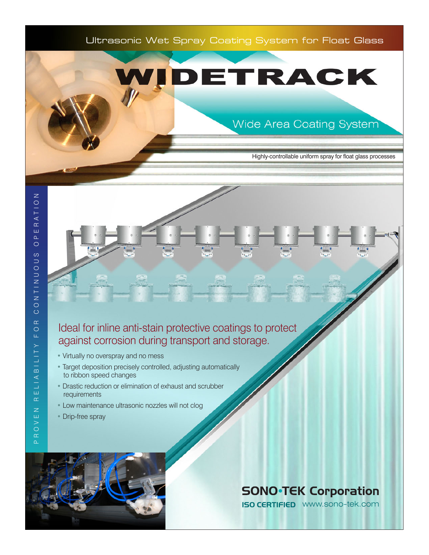

# DETRACK

## Wide Area Coating System

Highly-controllable uniform spray for float glass processes

### Ideal for inline anti-stain protective coatings to protect against corrosion during transport and storage.

- Virtually no overspray and no mess
- Target deposition precisely controlled, adjusting automatically to ribbon speed changes
- Drastic reduction or elimination of exhaust and scrubber requirements
- Low maintenance ultrasonic nozzles will not clog
- Drip-free spray



## **SONO**<sup>-</sup>TEK Corporation

**ISO CERTIFIED** WWW.Sono-tek.com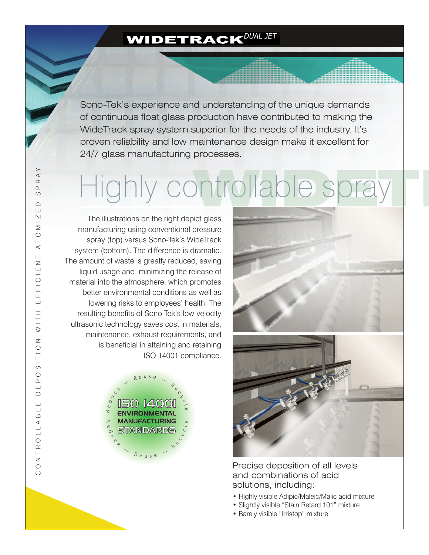## **WIDETRACK** DUAL JET

Sono-Tek's experience and understanding of the unique demands of continuous float glass production have contributed to making the WideTrack spray system superior for the needs of the industry. It's proven reliability and low maintenance design make it excellent for 24/7 glass manufacturing processes.

# Highly controllable spray ntrollable spray

The illustrations on the right depict glass manufacturing using conventional pressure spray (top) versus Sono-Tek's WideTrack system (bottom). The difference is dramatic. The amount of waste is greatly reduced, saving liquid usage and minimizing the release of material into the atmosphere, which promotes better environmental conditions as well as lowering risks to employees' health. The resulting benefits of Sono-Tek's low-velocity ultrasonic technology saves cost in materials, maintenance, exhaust requirements, and is beneficial in attaining and retaining ISO 14001 compliance.





Precise deposition of all levels and combinations of acid solutions, including:

- Highly visible Adipic/Maleic/Malic acid mixture
- Slightly visible "Stain Retard 101" mixture
- Barely visible "Irristop" mixture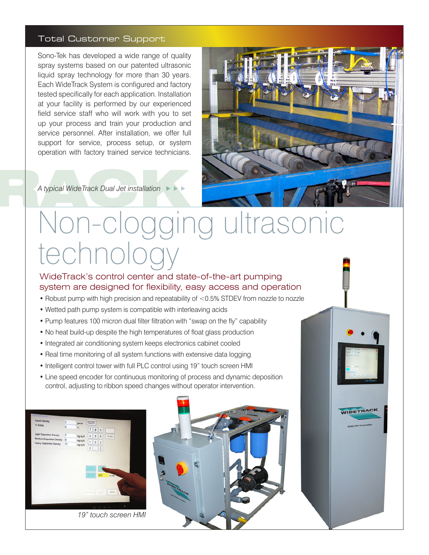#### Total Customer Support

Sono-Tek has developed a wide range of quality spray systems based on our patented ultrasonic liquid spray technology for more than 30 years. Each WideTrack System is configured and factory tested specifically for each application. Installation at your facility is performed by our experienced field service staff who will work with you to set up your process and train your production and service personnel. After installation, we offer full support for service, process setup, or system operation with factory trained service technicians.



A typical WideTrack Dual Jet installation **ALCOV** A typical WideTrack Dual Jet installation

# Non-clogging ultrasonic technology

#### WideTrack's control center and state-of-the-art pumping system are designed for flexibility, easy access and operation

- Robust pump with high precision and repeatability of <0.5% STDEV from nozzle to nozzle
- Wetted path pump system is compatible with interleaving acids
- Pump features 100 micron dual filter filtration with "swap on the fly" capability
- No heat build-up despite the high temperatures of float glass production
- Integrated air conditioning system keeps electronics cabinet cooled
- Real time monitoring of all system functions with extensive data logging
- Intelligent control tower with full PLC control using 19" touch screen HMI
- Line speed encoder for continuous monitoring of process and dynamic deposition control, adjusting to ribbon speed changes without operator intervention.

| <b>Liquid Density</b>           | ï<br>m       | gm mil               | SAR MOGEL          |                |                             |               |  |  |  |
|---------------------------------|--------------|----------------------|--------------------|----------------|-----------------------------|---------------|--|--|--|
| % Solids                        | 4            | ×.                   | $\overline{7}$     | 8              | $\mathsf{S}$                |               |  |  |  |
| <b>Light Deposition Density</b> | 7            | mg'sqit              | 4                  | 5              | 6                           | <b>IT HAS</b> |  |  |  |
| Medium Deposition Density       | $\mathbf{9}$ | mg'sqft.<br>mg'sq ft |                    |                |                             |               |  |  |  |
| <b>Heavy Deposition Density</b> | 11           |                      | 1                  | $\overline{2}$ | 3                           |               |  |  |  |
|                                 |              |                      | o                  | ×              | ¢                           |               |  |  |  |
|                                 |              |                      | 55                 |                |                             |               |  |  |  |
|                                 |              |                      | 高速度                |                | 500                         | in min        |  |  |  |
|                                 |              |                      | <b>ALL SERVICE</b> |                | <b>STATISTICS</b><br>$\sim$ | <b>NORMAL</b> |  |  |  |

*19" touch screen HMI*